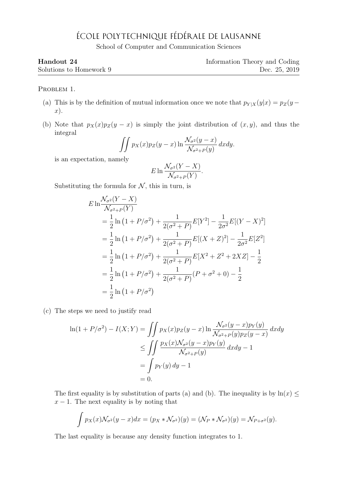## ÉCOLE POLYTECHNIQUE FÉDÉRALE DE LAUSANNE

School of Computer and Communication Sciences

| Handout 24              | Information Theory and Coding |
|-------------------------|-------------------------------|
| Solutions to Homework 9 | Dec. 25, 2019                 |

## PROBLEM 1.

- (a) This is by the definition of mutual information once we note that  $p_{Y|X}(y|x) = p_Z(y$ x).
- (b) Note that  $p_X(x)p_Z(y-x)$  is simply the joint distribution of  $(x, y)$ , and thus the integral

$$
\iint p_X(x)p_Z(y-x)\ln\frac{\mathcal{N}_{\sigma^2}(y-x)}{\mathcal{N}_{\sigma^2+P}(y)}dxdy.
$$

is an expectation, namely

$$
E \ln \frac{\mathcal{N}_{\sigma^2}(Y - X)}{\mathcal{N}_{\sigma^2 + P}(Y)}.
$$

Substituting the formula for  $N$ , this in turn, is

$$
E \ln \frac{\mathcal{N}_{\sigma^2}(Y - X)}{\mathcal{N}_{\sigma^2 + P}(Y)}
$$
  
=  $\frac{1}{2}$ ln (1 + P/ $\sigma^2$ ) +  $\frac{1}{2(\sigma^2 + P)} E[Y^2] - \frac{1}{2\sigma^2} E[(Y - X)^2]$   
=  $\frac{1}{2}$ ln (1 + P/ $\sigma^2$ ) +  $\frac{1}{2(\sigma^2 + P)} E[(X + Z)^2] - \frac{1}{2\sigma^2} E[Z^2]$   
=  $\frac{1}{2}$ ln (1 + P/ $\sigma^2$ ) +  $\frac{1}{2(\sigma^2 + P)} E[X^2 + Z^2 + 2XZ] - \frac{1}{2}$   
=  $\frac{1}{2}$ ln (1 + P/ $\sigma^2$ ) +  $\frac{1}{2(\sigma^2 + P)} (P + \sigma^2 + 0) - \frac{1}{2}$   
=  $\frac{1}{2}$ ln (1 + P/ $\sigma^2$ )

(c) The steps we need to justify read

$$
\ln(1 + P/\sigma^2) - I(X;Y) = \iint p_X(x)p_Z(y-x)\ln\frac{\mathcal{N}_{\sigma^2}(y-x)p_Y(y)}{\mathcal{N}_{\sigma^2+P}(y)p_Z(y-x)}dxdy
$$
  
\n
$$
\leq \iint \frac{p_X(x)\mathcal{N}_{\sigma^2}(y-x)p_Y(y)}{\mathcal{N}_{\sigma^2+P}(y)}dxdy - 1
$$
  
\n
$$
= \int p_Y(y)dy - 1
$$
  
\n= 0.

The first equality is by substitution of parts (a) and (b). The inequality is by  $ln(x) \le$  $x - 1$ . The next equality is by noting that

$$
\int p_X(x)\mathcal{N}_{\sigma^2}(y-x)dx = (p_X * \mathcal{N}_{\sigma^2})(y) = (\mathcal{N}_{P} * \mathcal{N}_{\sigma^2})(y) = \mathcal{N}_{P+\sigma^2}(y).
$$

The last equality is because any density function integrates to 1.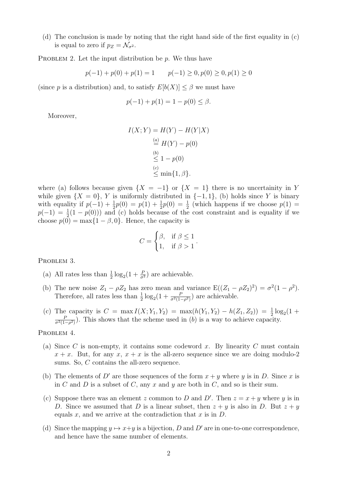(d) The conclusion is made by noting that the right hand side of the first equality in (c) is equal to zero if  $p_Z = \mathcal{N}_{\sigma^2}$ .

PROBLEM 2. Let the input distribution be  $p$ . We thus have

$$
p(-1) + p(0) + p(1) = 1 \qquad p(-1) \ge 0, p(0) \ge 0, p(1) \ge 0
$$

(since p is a distribution) and, to satisfy  $E[b(X)] \leq \beta$  we must have

$$
p(-1) + p(1) = 1 - p(0) \le \beta.
$$

Moreover,

$$
I(X;Y) = H(Y) - H(Y|X)
$$
  
\n
$$
\stackrel{(a)}{=} H(Y) - p(0)
$$
  
\n
$$
\stackrel{(b)}{\leq} 1 - p(0)
$$
  
\n
$$
\stackrel{(c)}{\leq} \min\{1, \beta\}.
$$

where (a) follows because given  $\{X = -1\}$  or  $\{X = 1\}$  there is no uncertainity in Y while given  $\{X = 0\}$ , Y is uniformly distributed in  $\{-1, 1\}$ , (b) holds since Y is binary with equality if  $p(-1) + \frac{1}{2}p(0) = p(1) + \frac{1}{2}p(0) = \frac{1}{2}$  (which happens if we choose  $p(1) =$  $p(-1) = \frac{1}{2}(1 - p(0))$  and (c) holds because of the cost constraint and is equality if we choose  $p(0) = \max\{1 - \beta, 0\}$ . Hence, the capacity is

$$
C = \begin{cases} \beta, & \text{if } \beta \le 1 \\ 1, & \text{if } \beta > 1 \end{cases}.
$$

PROBLEM 3.

- (a) All rates less than  $\frac{1}{2} \log_2(1 + \frac{P}{\sigma^2})$  are achievable.
- (b) The new noise  $Z_1 \rho Z_2$  has zero mean and variance  $E((Z_1 \rho Z_2)^2) = \sigma^2(1 \rho^2)$ . Therefore, all rates less than  $\frac{1}{2} \log_2(1 + \frac{P}{\sigma^2(1-\rho^2)})$  are achievable.
- (c) The capacity is  $C = \max I(X; Y_1, Y_2) = \max(h(Y_1, Y_2) h(Z_1, Z_2)) = \frac{1}{2} \log_2(1 +$ P  $\frac{P}{\sigma^2(1-\rho^2)}$ ). This shows that the scheme used in (b) is a way to achieve capacity.

PROBLEM 4.

- (a) Since C is non-empty, it contains some codeword x. By linearity C must contain  $x + x$ . But, for any  $x, x + x$  is the all-zero sequence since we are doing modulo-2 sums. So, C contains the all-zero sequence.
- (b) The elements of D' are those sequences of the form  $x + y$  where y is in D. Since x is in C and D is a subset of C, any x and y are both in C, and so is their sum.
- (c) Suppose there was an element z common to D and D'. Then  $z = x + y$  where y is in D. Since we assumed that D is a linear subset, then  $z + y$  is also in D. But  $z + y$ equals x, and we arrive at the contradiction that x is in  $D$ .
- (d) Since the mapping  $y \mapsto x+y$  is a bijection, D and D' are in one-to-one correspondence, and hence have the same number of elements.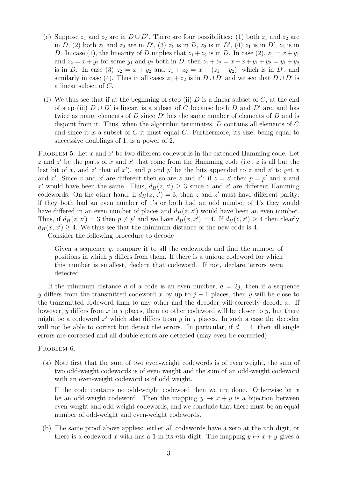- (e) Suppose  $z_1$  and  $z_2$  are in  $D \cup D'$ . There are four possibilities: (1) both  $z_1$  and  $z_2$  are in D, (2) both  $z_1$  and  $z_2$  are in D', (3)  $z_1$  is in D,  $z_2$  is in D', (4)  $z_1$  is in D',  $z_2$  is in D. In case (1), the linearity of D implies that  $z_1 + z_2$  is in D. In case (2),  $z_1 = x + y_1$ and  $z_2 = x + y_2$  for some  $y_1$  and  $y_2$  both in D, then  $z_1 + z_2 = x + x + y_1 + y_2 = y_1 + y_2$ is in D. In case (3)  $z_2 = x + y_2$  and  $z_1 + z_2 = x + (z_1 + y_2)$ , which is in D', and similarly in case (4). Thus in all cases  $z_1 + z_2$  is in  $D \cup D'$  and we see that  $D \cup D'$  is a linear subset of C.
- (f) We thus see that if at the beginning of step (ii) D is a linear subset of  $C$ , at the end of step (iii)  $D \cup D'$  is linear, is a subset of C because both D and D' are, and has twice as many elements of D since  $D'$  has the same number of elements of D and is disjoint from it. Thus, when the algorithm terminates, D contains all elements of C and since it is a subset of  $C$  it must equal  $C$ . Furthermore, its size, being equal to successive doublings of 1, is a power of 2.

PROBLEM 5. Let  $x$  and  $x'$  be two different codewords in the extended Hamming code. Let z and  $z'$  be the parts of x and  $x'$  that come from the Hamming code (i.e., z is all but the last bit of x, and z' that of x'), and p and p' be the bits appended to z and z' to get x and x'. Since x and x' are different then so are z and z': if  $z = z'$  then  $p = p'$  and x and x' would have been the same. Thus,  $d_H(z, z') \geq 3$  since z and z' are different Hamming codewords. On the other hand, if  $d_H(z, z') = 3$ , then z and z' must have different parity: if they both had an even number of 1's or both had an odd number of 1's they would have differed in an even number of places and  $d_H(z, z')$  would have been an even number. Thus, if  $d_H(z, z') = 3$  then  $p \neq p'$  and we have  $d_H(x, x') = 4$ . If  $d_H(z, z') \geq 4$  then clearly  $d_H(x, x') \geq 4$ . We thus see that the minimum distance of the new code is 4.

Consider the following procedure to decode

Given a sequence  $y$ , compare it to all the codewords and find the number of positions in which y differs from them. If there is a unique codeword for which this number is smallest, declare that codeword. If not, declare 'errors were detected'.

If the minimum distance d of a code is an even number,  $d = 2j$ , then if a sequence y differs from the transmitted codeword x by up to  $j-1$  places, then y will be close to the transmitted codeword than to any other and the decoder will correctly decode  $x$ . If however, y differs from x in j places, then no other codeword will be closer to y, but there might be a codeword  $x'$  which also differs from  $y$  in  $j$  places. In such a case the decoder will not be able to correct but detect the errors. In particular, if  $d = 4$ , then all single errors are corrected and all double errors are detected (may even be corrected).

PROBLEM 6.

(a) Note first that the sum of two even-weight codewords is of even weight, the sum of two odd-weight codewords is of even weight and the sum of an odd-weight codeword with an even-weight codeword is of odd weight.

If the code contains no odd-weight codeword then we are done. Otherwise let  $x$ be an odd-weight codeword. Then the mapping  $y \mapsto x + y$  is a bijection between even-weight and odd-weight codewords, and we conclude that there must be an equal number of odd-weight and even-weight codewords.

(b) The same proof above applies: either all codewords have a zero at the nth digit, or there is a codeword x with has a 1 in its nth digit. The mapping  $y \mapsto x + y$  gives a